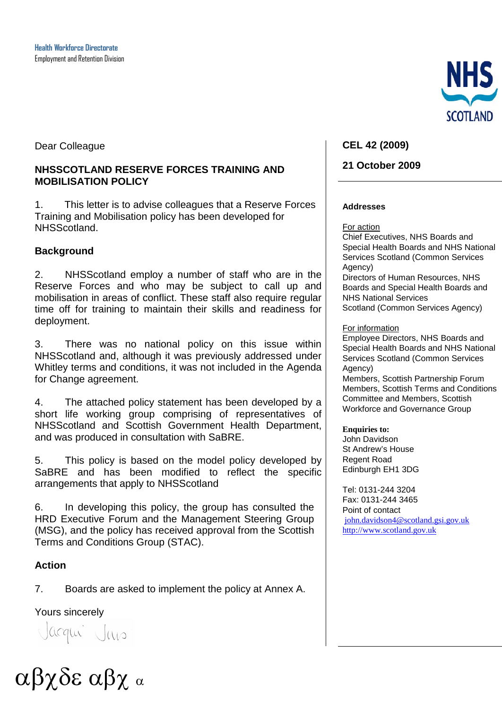Dear Colleague

#### **NHSSCOTLAND RESERVE FORCES TRAINING AND MOBILISATION POLICY**

1. This letter is to advise colleagues that a Reserve Forces Training and Mobilisation policy has been developed for NHSScotland.

#### **Background**

2. NHSScotland employ a number of staff who are in the Reserve Forces and who may be subject to call up and mobilisation in areas of conflict. These staff also require regular time off for training to maintain their skills and readiness for deployment.

3. There was no national policy on this issue within NHSScotland and, although it was previously addressed under Whitley terms and conditions, it was not included in the Agenda for Change agreement.

4. The attached policy statement has been developed by a short life working group comprising of representatives of NHSScotland and Scottish Government Health Department, and was produced in consultation with SaBRE.

5. This policy is based on the model policy developed by SaBRE and has been modified to reflect the specific arrangements that apply to NHSScotland

6. In developing this policy, the group has consulted the HRD Executive Forum and the Management Steering Group (MSG), and the policy has received approval from the Scottish Terms and Conditions Group (STAC).

#### **Action**

7. Boards are asked to implement the policy at Annex A.

Yours sincerely

Jacqui Jus



#### **CEL 42 (2009)**

#### **21 October 2009**

#### **Addresses**

For action

Chief Executives, NHS Boards and Special Health Boards and NHS National Services Scotland (Common Services Agency) Directors of Human Resources, NHS Boards and Special Health Boards and NHS National Services Scotland (Common Services Agency)

#### For information

Employee Directors, NHS Boards and Special Health Boards and NHS National Services Scotland (Common Services Agency)

Members, Scottish Partnership Forum Members, Scottish Terms and Conditions Committee and Members, Scottish Workforce and Governance Group

#### **Enquiries to:**

John Davidson St Andrew's House Regent Road Edinburgh EH1 3DG

Tel: 0131-244 3204 Fax: 0131-244 3465 Point of contact [john.davidson4@scotland.gsi.gov.uk](mailto:john.davidson4@scotland.gsi.gov.uk) [http://www.scotland.gov.uk](http://www.scotland.gov.uk/)

αβχδε αβχ <sup>α</sup>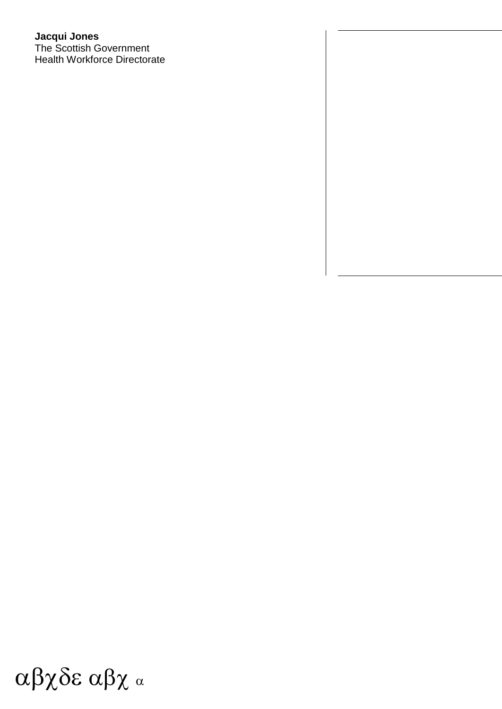#### **Jacqui Jones** The Scottish Government Health Workforce Directorate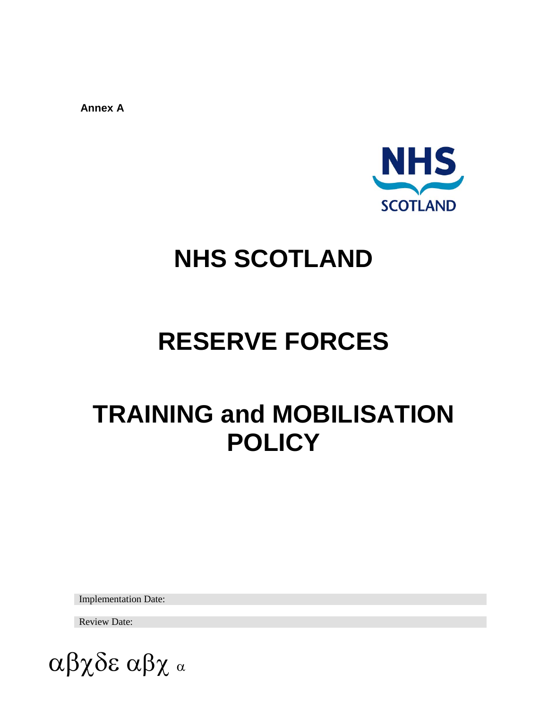**Annex A**



# **NHS SCOTLAND**

# **RESERVE FORCES**

# **TRAINING and MOBILISATION POLICY**

Implementation Date:

Review Date:

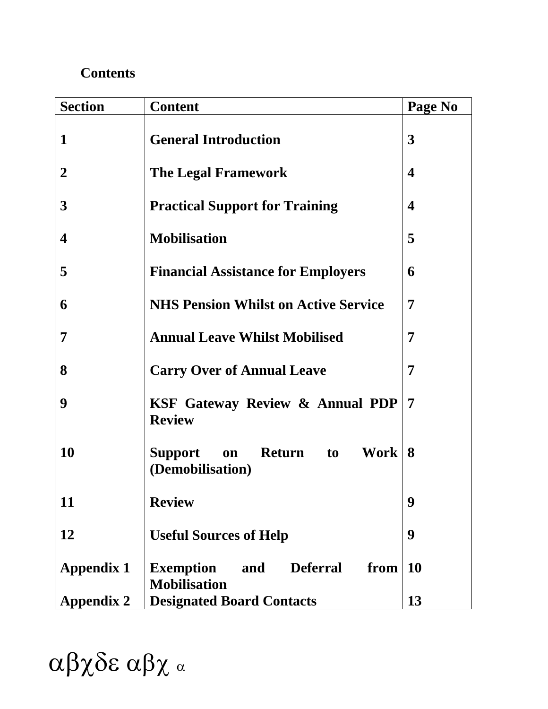# **Contents**

| <b>Section</b>    | <b>Content</b>                                                            | Page No          |
|-------------------|---------------------------------------------------------------------------|------------------|
| 1                 | <b>General Introduction</b>                                               | 3                |
| $\overline{2}$    | <b>The Legal Framework</b>                                                | $\boldsymbol{4}$ |
| 3                 | <b>Practical Support for Training</b>                                     | $\boldsymbol{4}$ |
| $\boldsymbol{4}$  | <b>Mobilisation</b>                                                       | 5                |
| 5                 | <b>Financial Assistance for Employers</b>                                 | 6                |
| 6                 | <b>NHS Pension Whilst on Active Service</b>                               | 7                |
| 7                 | <b>Annual Leave Whilst Mobilised</b>                                      | 7                |
| 8                 | <b>Carry Over of Annual Leave</b>                                         | 7                |
| 9                 | <b>KSF Gateway Review &amp; Annual PDP</b><br><b>Review</b>               | 7                |
| <b>10</b>         | Work<br><b>Support</b><br>Return to<br>on<br>(Demobilisation)             | 8                |
| 11                | <b>Review</b>                                                             | 9                |
| 12                | <b>Useful Sources of Help</b>                                             | 9                |
| <b>Appendix 1</b> | <b>Deferral</b><br><b>Exemption</b><br>from<br>and<br><b>Mobilisation</b> | <b>10</b>        |
| <b>Appendix 2</b> | <b>Designated Board Contacts</b>                                          | 13               |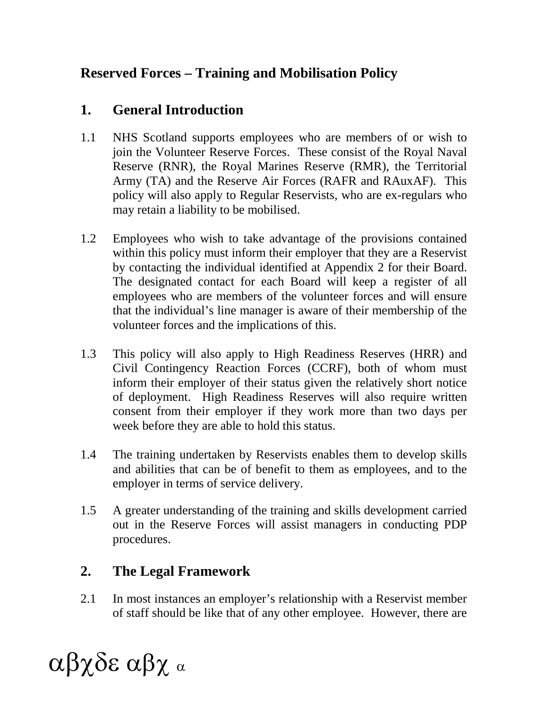# **Reserved Forces – Training and Mobilisation Policy**

# **1. General Introduction**

- 1.1 NHS Scotland supports employees who are members of or wish to join the Volunteer Reserve Forces. These consist of the Royal Naval Reserve (RNR), the Royal Marines Reserve (RMR), the Territorial Army (TA) and the Reserve Air Forces (RAFR and RAuxAF). This policy will also apply to Regular Reservists, who are ex-regulars who may retain a liability to be mobilised.
- 1.2 Employees who wish to take advantage of the provisions contained within this policy must inform their employer that they are a Reservist by contacting the individual identified at Appendix 2 for their Board. The designated contact for each Board will keep a register of all employees who are members of the volunteer forces and will ensure that the individual's line manager is aware of their membership of the volunteer forces and the implications of this.
- 1.3 This policy will also apply to High Readiness Reserves (HRR) and Civil Contingency Reaction Forces (CCRF), both of whom must inform their employer of their status given the relatively short notice of deployment. High Readiness Reserves will also require written consent from their employer if they work more than two days per week before they are able to hold this status.
- 1.4 The training undertaken by Reservists enables them to develop skills and abilities that can be of benefit to them as employees, and to the employer in terms of service delivery.
- 1.5 A greater understanding of the training and skills development carried out in the Reserve Forces will assist managers in conducting PDP procedures.

# **2. The Legal Framework**

2.1 In most instances an employer's relationship with a Reservist member of staff should be like that of any other employee. However, there are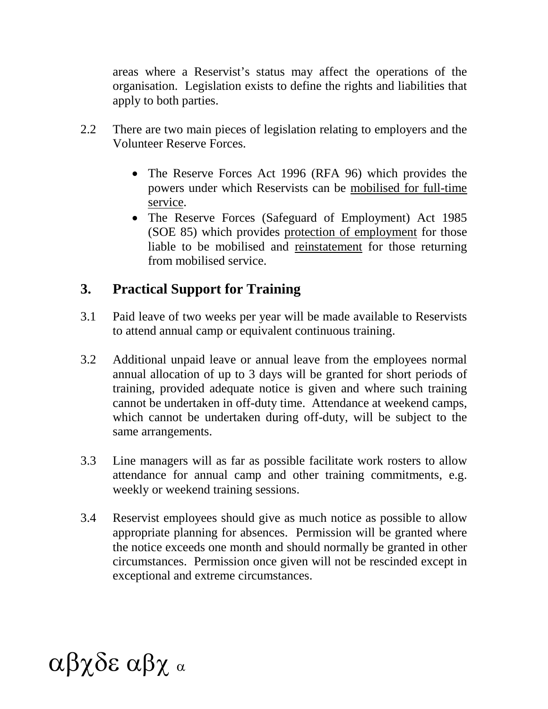areas where a Reservist's status may affect the operations of the organisation. Legislation exists to define the rights and liabilities that apply to both parties.

- 2.2 There are two main pieces of legislation relating to employers and the Volunteer Reserve Forces.
	- The Reserve Forces Act 1996 (RFA 96) which provides the powers under which Reservists can be mobilised for full-time service.
	- The Reserve Forces (Safeguard of Employment) Act 1985 (SOE 85) which provides protection of employment for those liable to be mobilised and reinstatement for those returning from mobilised service.

# **3. Practical Support for Training**

- 3.1 Paid leave of two weeks per year will be made available to Reservists to attend annual camp or equivalent continuous training.
- 3.2 Additional unpaid leave or annual leave from the employees normal annual allocation of up to 3 days will be granted for short periods of training, provided adequate notice is given and where such training cannot be undertaken in off-duty time. Attendance at weekend camps, which cannot be undertaken during off-duty, will be subject to the same arrangements.
- 3.3 Line managers will as far as possible facilitate work rosters to allow attendance for annual camp and other training commitments, e.g. weekly or weekend training sessions.
- 3.4 Reservist employees should give as much notice as possible to allow appropriate planning for absences. Permission will be granted where the notice exceeds one month and should normally be granted in other circumstances. Permission once given will not be rescinded except in exceptional and extreme circumstances.

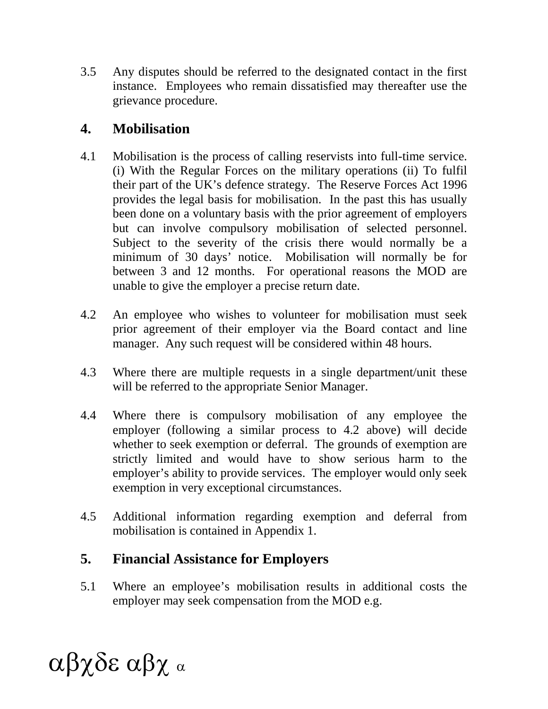3.5 Any disputes should be referred to the designated contact in the first instance. Employees who remain dissatisfied may thereafter use the grievance procedure.

## **4. Mobilisation**

- 4.1 Mobilisation is the process of calling reservists into full-time service. (i) With the Regular Forces on the military operations (ii) To fulfil their part of the UK's defence strategy. The Reserve Forces Act 1996 provides the legal basis for mobilisation. In the past this has usually been done on a voluntary basis with the prior agreement of employers but can involve compulsory mobilisation of selected personnel. Subject to the severity of the crisis there would normally be a minimum of 30 days' notice. Mobilisation will normally be for between 3 and 12 months. For operational reasons the MOD are unable to give the employer a precise return date.
- 4.2 An employee who wishes to volunteer for mobilisation must seek prior agreement of their employer via the Board contact and line manager. Any such request will be considered within 48 hours.
- 4.3 Where there are multiple requests in a single department/unit these will be referred to the appropriate Senior Manager.
- 4.4 Where there is compulsory mobilisation of any employee the employer (following a similar process to 4.2 above) will decide whether to seek exemption or deferral. The grounds of exemption are strictly limited and would have to show serious harm to the employer's ability to provide services. The employer would only seek exemption in very exceptional circumstances.
- 4.5 Additional information regarding exemption and deferral from mobilisation is contained in Appendix 1.

# **5. Financial Assistance for Employers**

5.1 Where an employee's mobilisation results in additional costs the employer may seek compensation from the MOD e.g.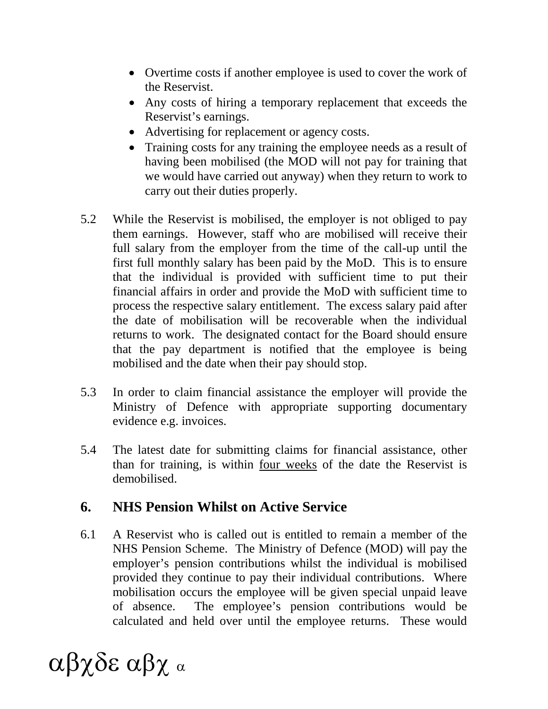- Overtime costs if another employee is used to cover the work of the Reservist.
- Any costs of hiring a temporary replacement that exceeds the Reservist's earnings.
- Advertising for replacement or agency costs.
- Training costs for any training the employee needs as a result of having been mobilised (the MOD will not pay for training that we would have carried out anyway) when they return to work to carry out their duties properly.
- 5.2 While the Reservist is mobilised, the employer is not obliged to pay them earnings. However, staff who are mobilised will receive their full salary from the employer from the time of the call-up until the first full monthly salary has been paid by the MoD. This is to ensure that the individual is provided with sufficient time to put their financial affairs in order and provide the MoD with sufficient time to process the respective salary entitlement. The excess salary paid after the date of mobilisation will be recoverable when the individual returns to work. The designated contact for the Board should ensure that the pay department is notified that the employee is being mobilised and the date when their pay should stop.
- 5.3 In order to claim financial assistance the employer will provide the Ministry of Defence with appropriate supporting documentary evidence e.g. invoices.
- 5.4 The latest date for submitting claims for financial assistance, other than for training, is within four weeks of the date the Reservist is demobilised.

## **6. NHS Pension Whilst on Active Service**

6.1 A Reservist who is called out is entitled to remain a member of the NHS Pension Scheme. The Ministry of Defence (MOD) will pay the employer's pension contributions whilst the individual is mobilised provided they continue to pay their individual contributions. Where mobilisation occurs the employee will be given special unpaid leave of absence. The employee's pension contributions would be calculated and held over until the employee returns. These would

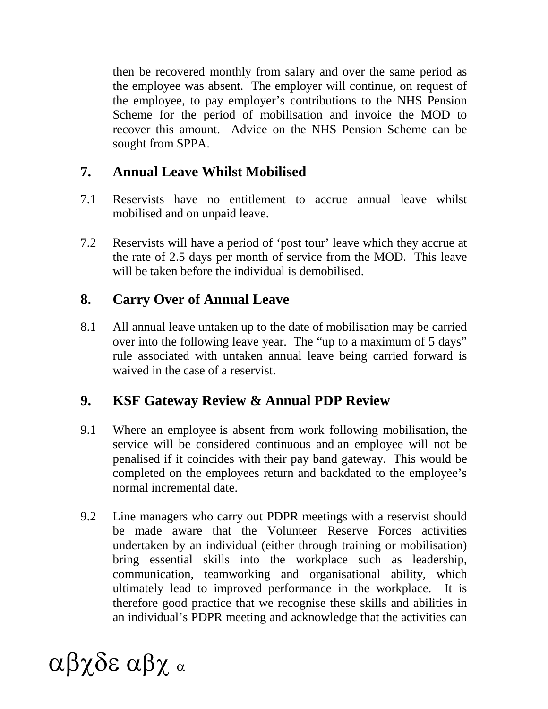then be recovered monthly from salary and over the same period as the employee was absent. The employer will continue, on request of the employee, to pay employer's contributions to the NHS Pension Scheme for the period of mobilisation and invoice the MOD to recover this amount. Advice on the NHS Pension Scheme can be sought from SPPA.

## **7. Annual Leave Whilst Mobilised**

- 7.1 Reservists have no entitlement to accrue annual leave whilst mobilised and on unpaid leave.
- 7.2 Reservists will have a period of 'post tour' leave which they accrue at the rate of 2.5 days per month of service from the MOD. This leave will be taken before the individual is demobilised.

# **8. Carry Over of Annual Leave**

8.1 All annual leave untaken up to the date of mobilisation may be carried over into the following leave year. The "up to a maximum of 5 days" rule associated with untaken annual leave being carried forward is waived in the case of a reservist.

# **9. KSF Gateway Review & Annual PDP Review**

- 9.1 Where an employee is absent from work following mobilisation, the service will be considered continuous and an employee will not be penalised if it coincides with their pay band gateway. This would be completed on the employees return and backdated to the employee's normal incremental date.
- 9.2 Line managers who carry out PDPR meetings with a reservist should be made aware that the Volunteer Reserve Forces activities undertaken by an individual (either through training or mobilisation) bring essential skills into the workplace such as leadership, communication, teamworking and organisational ability, which ultimately lead to improved performance in the workplace. It is therefore good practice that we recognise these skills and abilities in an individual's PDPR meeting and acknowledge that the activities can

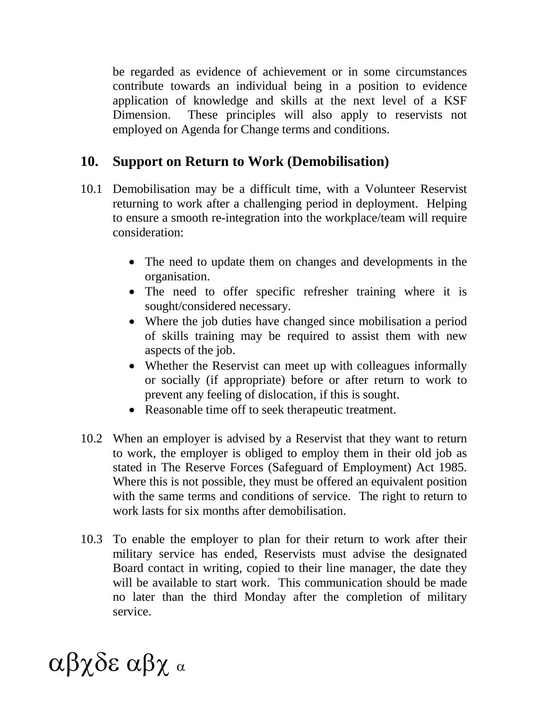be regarded as evidence of achievement or in some circumstances contribute towards an individual being in a position to evidence application of knowledge and skills at the next level of a KSF Dimension. These principles will also apply to reservists not employed on Agenda for Change terms and conditions.

## **10. Support on Return to Work (Demobilisation)**

- 10.1 Demobilisation may be a difficult time, with a Volunteer Reservist returning to work after a challenging period in deployment. Helping to ensure a smooth re-integration into the workplace/team will require consideration:
	- The need to update them on changes and developments in the organisation.
	- The need to offer specific refresher training where it is sought/considered necessary.
	- Where the job duties have changed since mobilisation a period of skills training may be required to assist them with new aspects of the job.
	- Whether the Reservist can meet up with colleagues informally or socially (if appropriate) before or after return to work to prevent any feeling of dislocation, if this is sought.
	- Reasonable time off to seek therapeutic treatment.
- 10.2 When an employer is advised by a Reservist that they want to return to work, the employer is obliged to employ them in their old job as stated in The Reserve Forces (Safeguard of Employment) Act 1985. Where this is not possible, they must be offered an equivalent position with the same terms and conditions of service. The right to return to work lasts for six months after demobilisation.
- 10.3 To enable the employer to plan for their return to work after their military service has ended, Reservists must advise the designated Board contact in writing, copied to their line manager, the date they will be available to start work. This communication should be made no later than the third Monday after the completion of military service.

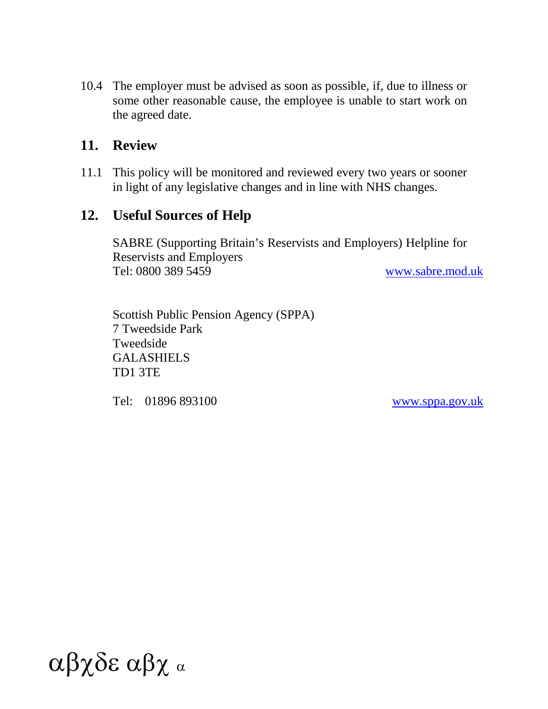10.4 The employer must be advised as soon as possible, if, due to illness or some other reasonable cause, the employee is unable to start work on the agreed date.

### **11. Review**

11.1 This policy will be monitored and reviewed every two years or sooner in light of any legislative changes and in line with NHS changes.

### **12. Useful Sources of Help**

SABRE (Supporting Britain's Reservists and Employers) Helpline for Reservists and Employers Tel: 0800 389 5459 [www.sabre.mod.uk](http://www.sabre.mod.uk/)

Scottish Public Pension Agency (SPPA) 7 Tweedside Park Tweedside GALASHIELS TD1 3TE

Tel: 01896 893100 [www.sppa.gov.uk](http://www.sppa.gov.uk/)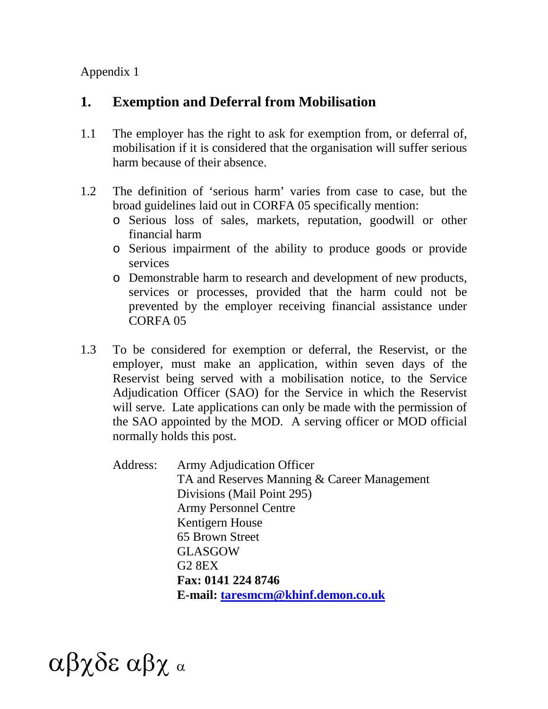Appendix 1

# **1. Exemption and Deferral from Mobilisation**

- 1.1 The employer has the right to ask for exemption from, or deferral of, mobilisation if it is considered that the organisation will suffer serious harm because of their absence.
- 1.2 The definition of 'serious harm' varies from case to case, but the broad guidelines laid out in CORFA 05 specifically mention:
	- o Serious loss of sales, markets, reputation, goodwill or other financial harm
	- o Serious impairment of the ability to produce goods or provide services
	- o Demonstrable harm to research and development of new products, services or processes, provided that the harm could not be prevented by the employer receiving financial assistance under CORFA 05
- 1.3 To be considered for exemption or deferral, the Reservist, or the employer, must make an application, within seven days of the Reservist being served with a mobilisation notice, to the Service Adjudication Officer (SAO) for the Service in which the Reservist will serve. Late applications can only be made with the permission of the SAO appointed by the MOD. A serving officer or MOD official normally holds this post.

Address: Army Adjudication Officer TA and Reserves Manning & Career Management Divisions (Mail Point 295) Army Personnel Centre Kentigern House 65 Brown Street GLASGOW G2 8EX **Fax: 0141 224 8746 E-mail: [taresmcm@khinf.demon.co.uk](mailto:taresmcm@khinf.demon.co.uk)**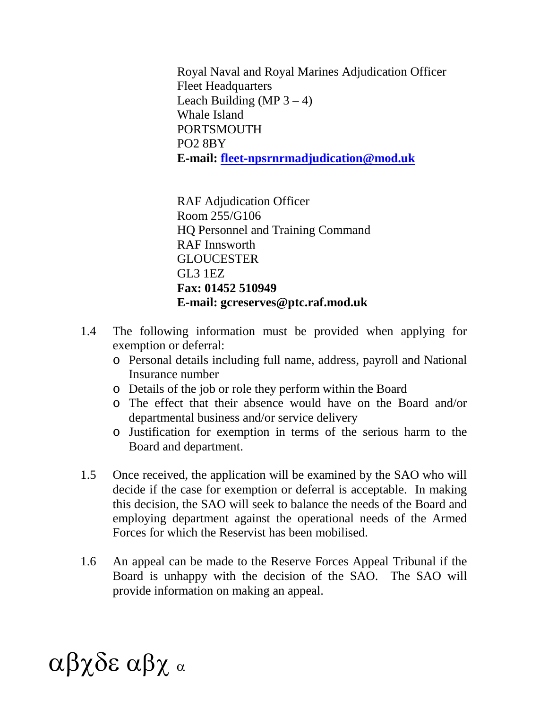Royal Naval and Royal Marines Adjudication Officer Fleet Headquarters Leach Building (MP  $3 - 4$ ) Whale Island **PORTSMOUTH** PO2 8BY **E-mail: [fleet-npsrnrmadjudication@mod.uk](mailto:fleet-npsrnrmadjudication@mod.uk)**

RAF Adjudication Officer Room 255/G106 HQ Personnel and Training Command RAF Innsworth **GLOUCESTER** GL3 1EZ **Fax: 01452 510949 E-mail: gcreserves@ptc.raf.mod.uk**

- 1.4 The following information must be provided when applying for exemption or deferral:
	- o Personal details including full name, address, payroll and National Insurance number
	- o Details of the job or role they perform within the Board
	- o The effect that their absence would have on the Board and/or departmental business and/or service delivery
	- o Justification for exemption in terms of the serious harm to the Board and department.
- 1.5 Once received, the application will be examined by the SAO who will decide if the case for exemption or deferral is acceptable. In making this decision, the SAO will seek to balance the needs of the Board and employing department against the operational needs of the Armed Forces for which the Reservist has been mobilised.
- 1.6 An appeal can be made to the Reserve Forces Appeal Tribunal if the Board is unhappy with the decision of the SAO. The SAO will provide information on making an appeal.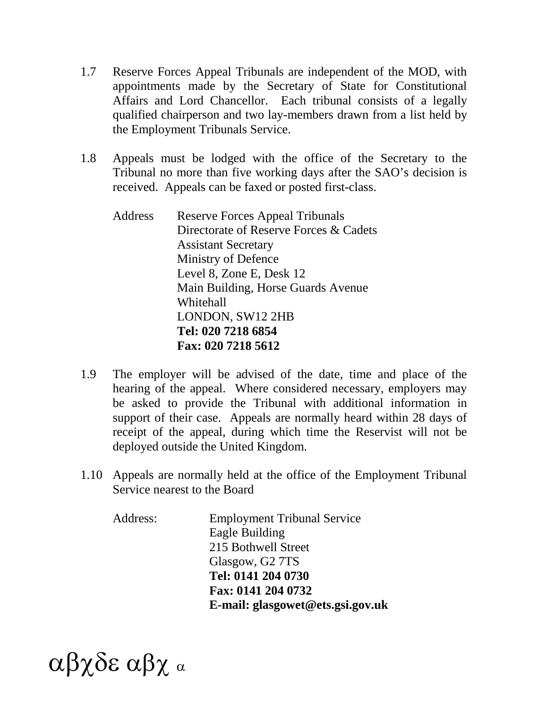- 1.7 Reserve Forces Appeal Tribunals are independent of the MOD, with appointments made by the Secretary of State for Constitutional Affairs and Lord Chancellor. Each tribunal consists of a legally qualified chairperson and two lay-members drawn from a list held by the Employment Tribunals Service.
- 1.8 Appeals must be lodged with the office of the Secretary to the Tribunal no more than five working days after the SAO's decision is received. Appeals can be faxed or posted first-class.
	- Address Reserve Forces Appeal Tribunals Directorate of Reserve Forces & Cadets Assistant Secretary Ministry of Defence Level 8, Zone E, Desk 12 Main Building, Horse Guards Avenue Whitehall LONDON, SW12 2HB **Tel: 020 7218 6854 Fax: 020 7218 5612**
- 1.9 The employer will be advised of the date, time and place of the hearing of the appeal. Where considered necessary, employers may be asked to provide the Tribunal with additional information in support of their case. Appeals are normally heard within 28 days of receipt of the appeal, during which time the Reservist will not be deployed outside the United Kingdom.
- 1.10 Appeals are normally held at the office of the Employment Tribunal Service nearest to the Board

| Address: | <b>Employment Tribunal Service</b> |
|----------|------------------------------------|
|          | Eagle Building                     |
|          | 215 Bothwell Street                |
|          | Glasgow, G2 7TS                    |
|          | Tel: 0141 204 0730                 |
|          | Fax: 0141 204 0732                 |
|          | E-mail: glasgowet@ets.gsi.gov.uk   |
|          |                                    |